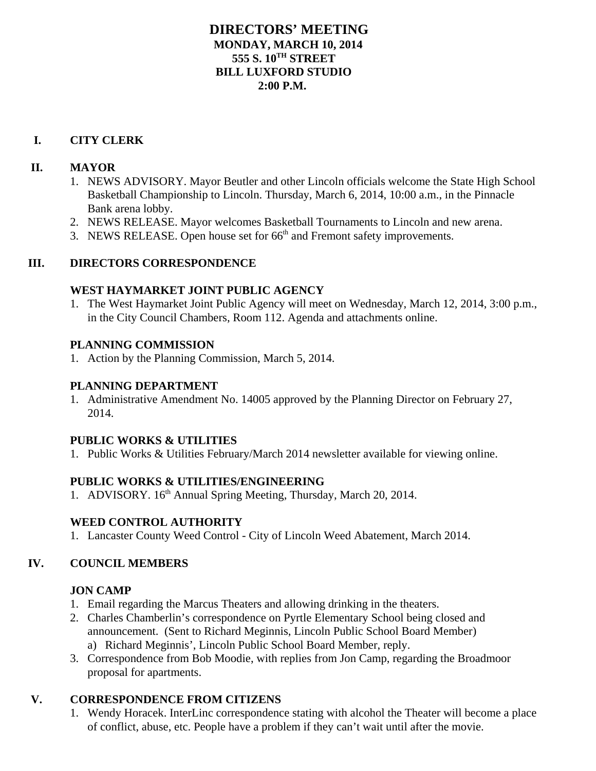### **DIRECTORS' MEETING MONDAY, MARCH 10, 2014 555 S. 10TH STREET BILL LUXFORD STUDIO 2:00 P.M.**

#### **I. CITY CLERK**

#### **II. MAYOR**

- 1. NEWS ADVISORY. Mayor Beutler and other Lincoln officials welcome the State High School Basketball Championship to Lincoln. Thursday, March 6, 2014, 10:00 a.m., in the Pinnacle Bank arena lobby.
- 2. NEWS RELEASE. Mayor welcomes Basketball Tournaments to Lincoln and new arena.
- 3. NEWS RELEASE. Open house set for  $66<sup>th</sup>$  and Fremont safety improvements.

### **III. DIRECTORS CORRESPONDENCE**

#### **WEST HAYMARKET JOINT PUBLIC AGENCY**

1. The West Haymarket Joint Public Agency will meet on Wednesday, March 12, 2014, 3:00 p.m., in the City Council Chambers, Room 112. Agenda and attachments online.

### **PLANNING COMMISSION**

1. Action by the Planning Commission, March 5, 2014.

### **PLANNING DEPARTMENT**

1. Administrative Amendment No. 14005 approved by the Planning Director on February 27, 2014.

#### **PUBLIC WORKS & UTILITIES**

1. Public Works & Utilities February/March 2014 newsletter available for viewing online.

# **PUBLIC WORKS & UTILITIES/ENGINEERING**

1. ADVISORY. 16<sup>th</sup> Annual Spring Meeting, Thursday, March 20, 2014.

# **WEED CONTROL AUTHORITY**

1. Lancaster County Weed Control - City of Lincoln Weed Abatement, March 2014.

# **IV. COUNCIL MEMBERS**

# **JON CAMP**

- 1. Email regarding the Marcus Theaters and allowing drinking in the theaters.
- 2. Charles Chamberlin's correspondence on Pyrtle Elementary School being closed and announcement. (Sent to Richard Meginnis, Lincoln Public School Board Member) a) Richard Meginnis', Lincoln Public School Board Member, reply.
- 3. Correspondence from Bob Moodie, with replies from Jon Camp, regarding the Broadmoor proposal for apartments.

# **V. CORRESPONDENCE FROM CITIZENS**

1. Wendy Horacek. InterLinc correspondence stating with alcohol the Theater will become a place of conflict, abuse, etc. People have a problem if they can't wait until after the movie.